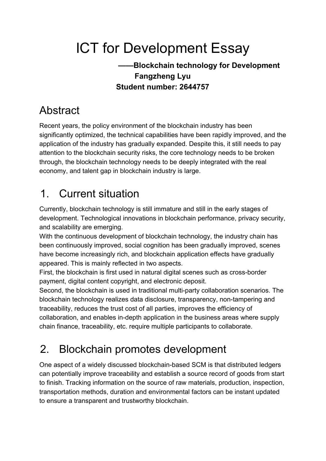# ICT for Development Essay

#### **——Blockchain technology for Development Fangzheng Lyu Student number: 2644757**

# Abstract

Recent years, the policy environment of the blockchain industry has been significantly optimized, the technical capabilities have been rapidly improved, and the application of the industry has gradually expanded. Despite this, it still needs to pay attention to the blockchain security risks, the core technology needs to be broken through, the blockchain technology needs to be deeply integrated with the real economy, and talent gap in blockchain industry is large.

# 1. Current situation

Currently, blockchain technology is still immature and still in the early stages of development. Technological innovations in blockchain performance, privacy security, and scalability are emerging.

With the continuous development of blockchain technology, the industry chain has been continuously improved, social cognition has been gradually improved, scenes have become increasingly rich, and blockchain application effects have gradually appeared. This is mainly reflected in two aspects.

First, the blockchain is first used in natural digital scenes such as cross-border payment, digital content copyright, and electronic deposit.

Second, the blockchain is used in traditional multi-party collaboration scenarios. The blockchain technology realizes data disclosure, transparency, non-tampering and traceability, reduces the trust cost of all parties, improves the efficiency of collaboration, and enables in-depth application in the business areas where supply chain finance, traceability, etc. require multiple participants to collaborate.

# 2. Blockchain promotes development

One aspect of a widely discussed blockchain-based SCM is that distributed ledgers can potentially improve traceability and establish a source record of goods from start to finish. Tracking information on the source of raw materials, production, inspection, transportation methods, duration and environmental factors can be instant updated to ensure a transparent and trustworthy blockchain.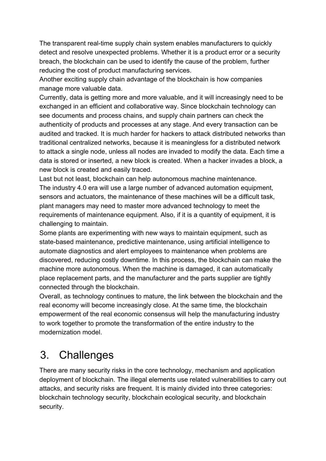The transparent real-time supply chain system enables manufacturers to quickly detect and resolve unexpected problems. Whether it is a product error or a security breach, the blockchain can be used to identify the cause of the problem, further reducing the cost of product manufacturing services.

Another exciting supply chain advantage of the blockchain is how companies manage more valuable data.

Currently, data is getting more and more valuable, and it will increasingly need to be exchanged in an efficient and collaborative way. Since blockchain technology can see documents and process chains, and supply chain partners can check the authenticity of products and processes at any stage. And every transaction can be audited and tracked. It is much harder for hackers to attack distributed networks than traditional centralized networks, because it is meaningless for a distributed network to attack a single node, unless all nodes are invaded to modify the data. Each time a data is stored or inserted, a new block is created. When a hacker invades a block, a new block is created and easily traced.

Last but not least, blockchain can help autonomous machine maintenance. The industry 4.0 era will use a large number of advanced automation equipment, sensors and actuators, the maintenance of these machines will be a difficult task, plant managers may need to master more advanced technology to meet the requirements of maintenance equipment. Also, if it is a quantity of equipment, it is challenging to maintain.

Some plants are experimenting with new ways to maintain equipment, such as state-based maintenance, predictive maintenance, using artificial intelligence to automate diagnostics and alert employees to maintenance when problems are discovered, reducing costly downtime. In this process, the blockchain can make the machine more autonomous. When the machine is damaged, it can automatically place replacement parts, and the manufacturer and the parts supplier are tightly connected through the blockchain.

Overall, as technology continues to mature, the link between the blockchain and the real economy will become increasingly close. At the same time, the blockchain empowerment of the real economic consensus will help the manufacturing industry to work together to promote the transformation of the entire industry to the modernization model.

## 3. Challenges

There are many security risks in the core technology, mechanism and application deployment of blockchain. The illegal elements use related vulnerabilities to carry out attacks, and security risks are frequent. It is mainly divided into three categories: blockchain technology security, blockchain ecological security, and blockchain security.